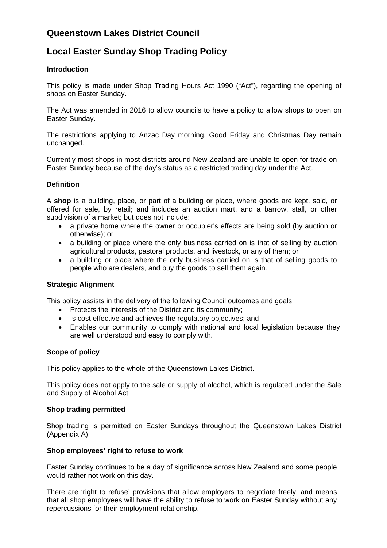# **Queenstown Lakes District Council**

# **Local Easter Sunday Shop Trading Policy**

### **Introduction**

This policy is made under Shop Trading Hours Act 1990 ("Act"), regarding the opening of shops on Easter Sunday.

The Act was amended in 2016 to allow councils to have a policy to allow shops to open on Easter Sunday.

The restrictions applying to Anzac Day morning, Good Friday and Christmas Day remain unchanged.

Currently most shops in most districts around New Zealand are unable to open for trade on Easter Sunday because of the day's status as a restricted trading day under the Act.

## **Definition**

A **shop** is a building, place, or part of a building or place, where goods are kept, sold, or offered for sale, by retail; and includes an auction mart, and a barrow, stall, or other subdivision of a market; but does not include:

- a private home where the owner or occupier's effects are being sold (by auction or otherwise); or
- a building or place where the only business carried on is that of selling by auction agricultural products, pastoral products, and livestock, or any of them; or
- a building or place where the only business carried on is that of selling goods to people who are dealers, and buy the goods to sell them again.

### **Strategic Alignment**

This policy assists in the delivery of the following Council outcomes and goals:

- Protects the interests of the District and its community;
- Is cost effective and achieves the regulatory objectives; and
- Enables our community to comply with national and local legislation because they are well understood and easy to comply with.

### **Scope of policy**

This policy applies to the whole of the Queenstown Lakes District.

This policy does not apply to the sale or supply of alcohol, which is regulated under the Sale and Supply of Alcohol Act.

### **Shop trading permitted**

Shop trading is permitted on Easter Sundays throughout the Queenstown Lakes District (Appendix A).

#### **Shop employees' right to refuse to work**

Easter Sunday continues to be a day of significance across New Zealand and some people would rather not work on this day.

There are 'right to refuse' provisions that allow employers to negotiate freely, and means that all shop employees will have the ability to refuse to work on Easter Sunday without any repercussions for their employment relationship.